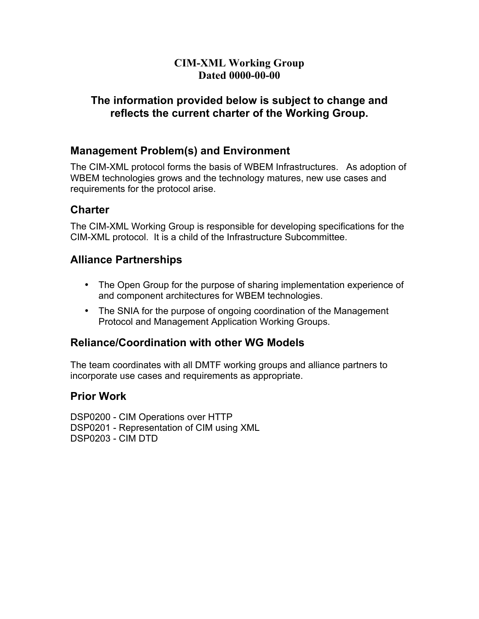### **CIM-XML Working Group Dated 0000-00-00**

### **The information provided below is subject to change and reflects the current charter of the Working Group.**

## **Management Problem(s) and Environment**

The CIM-XML protocol forms the basis of WBEM Infrastructures. As adoption of WBEM technologies grows and the technology matures, new use cases and requirements for the protocol arise.

## **Charter**

The CIM-XML Working Group is responsible for developing specifications for the CIM-XML protocol. It is a child of the Infrastructure Subcommittee.

#### **Alliance Partnerships**

- The Open Group for the purpose of sharing implementation experience of and component architectures for WBEM technologies.
- The SNIA for the purpose of ongoing coordination of the Management Protocol and Management Application Working Groups.

## **Reliance/Coordination with other WG Models**

The team coordinates with all DMTF working groups and alliance partners to incorporate use cases and requirements as appropriate.

## **Prior Work**

DSP0200 - CIM Operations over HTTP DSP0201 - Representation of CIM using XML DSP0203 - CIM DTD